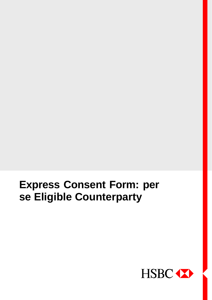



|PUBLIC|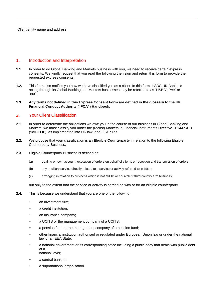Client entity name and address:

# 1. Introduction and Interpretation

- **1.1.** In order to do Global Banking and Markets business with you, we need to receive certain express consents. We kindly request that you read the following then sign and return this form to provide the requested express consents.
- **1.2.** This form also notifies you how we have classified you as a client. In this form, HSBC UK Bank plc acting through its Global Banking and Markets businesses may be referred to as "HSBC", "we" or "our".
- **1.3. Any terms not defined in this Express Consent Form are defined in the glossary to the UK Financial Conduct Authority ("FCA") Handbook.**

# 2. Your Client Classification

- **2.1.** In order to determine the obligations we owe you in the course of our business in Global Banking and Markets, we must classify you under the (recast) Markets in Financial Instruments Directive 2014/65/EU ("**MiFID II**"), as implemented into UK law, and FCA rules.
- **2.2.** We propose that your classification is an **Eligible Counterparty** in relation to the following Eligible Counterparty Business.
- **2.3.** Eligible Counterparty Business is defined as:
	- (a) dealing on own account, execution of orders on behalf of clients or reception and transmission of orders;
	- (b) any ancillary service directly related to a service or activity referred to in (a); or
	- (c) arranging in relation to business which is not MiFID or equivalent third country firm business;

but only to the extent that the service or activity is carried on with or for an eligible counterparty.

- **2.4.** This is because we understand that you are one of the following:
	- an investment firm:
	- a credit institution;
	- an insurance company;
	- a UCITS or the management company of a UCITS;
	- a pension fund or the management company of a pension fund;
	- other financial institution authorised or regulated under European Union law or under the national law of an EEA State;
	- a national government or its corresponding office including a public body that deals with public debt at a national level;
	- a central bank; or
	- a supranational organisation.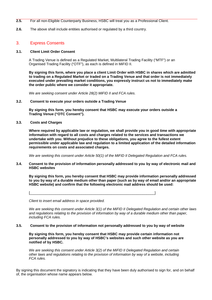- **2.5.** For all non-Eligible Counterparty Business, HSBC will treat you as a Professional Client.
- **2.6.** The above shall include entities authorised or regulated by a third country.

### 3. Express Consents

#### **3.1. Client Limit Order Consent**

A Trading Venue is defined as a Regulated Market, Multilateral Trading Facility ("MTF") or an Organised Trading Facility ("OTF"), as each is defined in MiFID II.

**By signing this form, where you place a client Limit Order with HSBC in shares which are admitted to trading on a Regulated Market or traded on a Trading Venue and that order is not immediately executed under prevailing market conditions, you expressly instruct us not to immediately make the order public where we consider it appropriate.**

*We are seeking consent under Article 28(2) MiFID II and FCA rules.*

#### **3.2. Consent to execute your orders outside a Trading Venue**

**By signing this form, you hereby consent that HSBC may execute your orders outside a Trading Venue ("OTC Consent").**

**3.3. Costs and Charges**

**Where required by applicable law or regulation, we shall provide you in good time with appropriate information with regard to all costs and charges related to the services and transactions we undertake with you. Without prejudice to these obligations, you agree to the fullest extent permissible under applicable law and regulation to a limited application of the detailed information requirements on costs and associated charges.**

*We are seeking this consent under Article 50(1) of the MiFID II Delegated Regulation and FCA rules.*

**3.4. Consent to the provision of information personally addressed to you by way of electronic mail and HSBC websites**

**By signing this form, you hereby consent that HSBC may provide information personally addressed to you by way of a durable medium other than paper (such as by way of email and/or an appropriate HSBC website) and confirm that the following electronic mail address should be used:**

*Client to insert email address in space provided.*

*We are seeking this consent under Article 3(1) of the MiFID II Delegated Regulation and certain other laws and regulations relating to the provision of information by way of a durable medium other than paper, including FCA rules.*

### **3.5. Consent to the provision of information not personally addressed to you by way of website**

**By signing this form, you hereby consent that HSBC may provide certain information not personally addressed to you by way of HSBC's websites and such other website as you are notified of by HSBC.**

*We are seeking this consent under Article 3(2) of the MiFID II Delegated Regulation and certain other laws and regulations relating to the provision of information by way of a website, including FCA rules.*

By signing this document the signatory is indicating that they have been duly authorised to sign for, and on behalf of, the organisation whose name appears below.